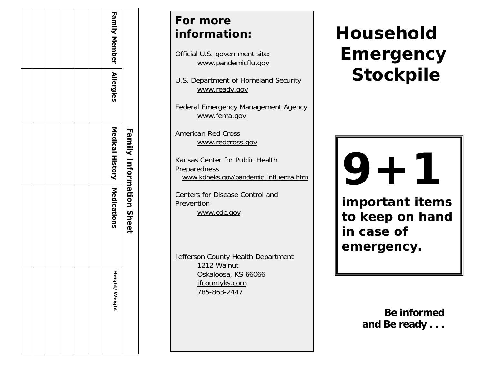|  |  |               | <b>Family Information Sheet</b>                                 |
|--|--|---------------|-----------------------------------------------------------------|
|  |  |               |                                                                 |
|  |  | Height/Weight |                                                                 |
|  |  |               | <b>Family Member   Allergies</b><br>Medical History Medications |

### *For more infor mation:*

Official U.S. government site: www.pandemicflu.go v

U.S. Department of Homeland Security www.ready.gov

Federal Emergency Management Agency www.fema.gov

American Red Cross www.redcr oss.gov

Kansas Center for Public Health Preparedness www.kdheks.gov/pandemic\_influenza.htm

Centers for Disease Control and **Prevention** www.cdc.gov

Jefferson C ounty Healt h Departm ent 1212 Walnut Oskaloosa, KS 66066 jfcountyks.com 785-863-2447

# *Household Emergency Stockpile*

# **9 portant 9+1**

**important items to keep on hand in case of emergency.** 

> **Be informed and Be ready . . .**